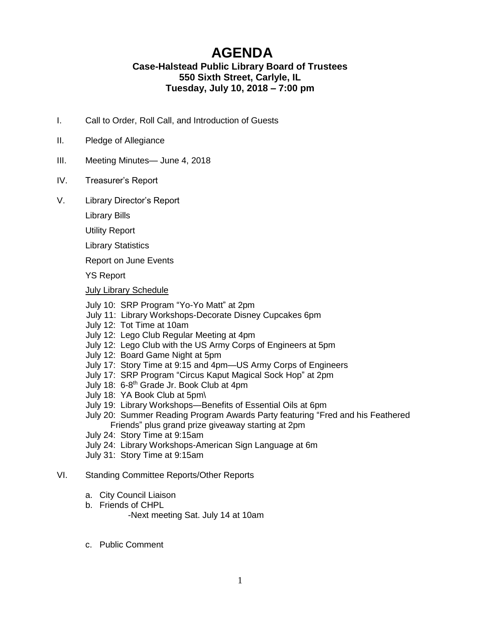# **AGENDA**

## **Case-Halstead Public Library Board of Trustees 550 Sixth Street, Carlyle, IL Tuesday, July 10, 2018 – 7:00 pm**

- I. Call to Order, Roll Call, and Introduction of Guests
- II. Pledge of Allegiance
- III. Meeting Minutes— June 4, 2018
- IV. Treasurer's Report
- V. Library Director's Report

Library Bills

Utility Report

Library Statistics

Report on June Events

YS Report

#### July Library Schedule

July 10: SRP Program "Yo-Yo Matt" at 2pm

- July 11: Library Workshops-Decorate Disney Cupcakes 6pm
- July 12: Tot Time at 10am
- July 12: Lego Club Regular Meeting at 4pm
- July 12: Lego Club with the US Army Corps of Engineers at 5pm
- July 12: Board Game Night at 5pm
- July 17: Story Time at 9:15 and 4pm—US Army Corps of Engineers
- July 17: SRP Program "Circus Kaput Magical Sock Hop" at 2pm
- July 18: 6-8<sup>th</sup> Grade Jr. Book Club at 4pm
	- July 18: YA Book Club at 5pm\
	- July 19: Library Workshops—Benefits of Essential Oils at 6pm
	- July 20: Summer Reading Program Awards Party featuring "Fred and his Feathered Friends" plus grand prize giveaway starting at 2pm
	- July 24: Story Time at 9:15am
	- July 24: Library Workshops-American Sign Language at 6m
	- July 31: Story Time at 9:15am

#### VI. Standing Committee Reports/Other Reports

- a. City Council Liaison
- b. Friends of CHPL

-Next meeting Sat. July 14 at 10am

c. Public Comment